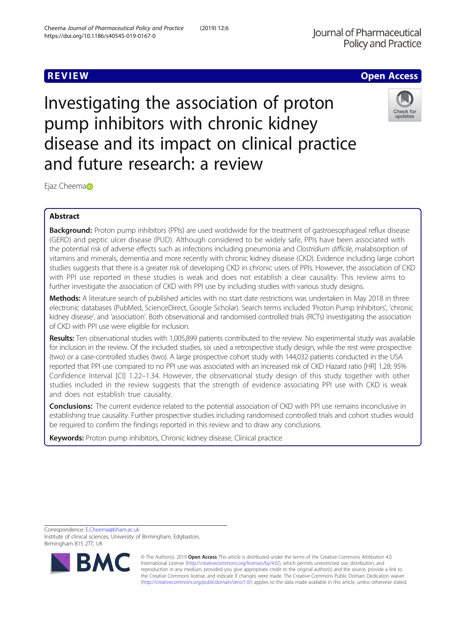# **REVIEW ACCESS AND LOCAL CONTRACT CONTRACT OF ACCESS**

Investigating the association of proton pump inhibitors with chronic kidney disease and its impact on clinical practice and future research: a review



Ej[a](http://orcid.org/0000-0002-8538-7392)z Cheema

# Abstract

Background: Proton pump inhibitors (PPIs) are used worldwide for the treatment of gastroesophageal reflux disease (GERD) and peptic ulcer disease (PUD). Although considered to be widely safe, PPIs have been associated with the potential risk of adverse effects such as infections including pneumonia and Clostridium difficile, malabsorption of vitamins and minerals, dementia and more recently with chronic kidney disease (CKD). Evidence including large cohort studies suggests that there is a greater risk of developing CKD in chronic users of PPIs. However, the association of CKD with PPI use reported in these studies is weak and does not establish a clear causality. This review aims to further investigate the association of CKD with PPI use by including studies with various study designs.

Methods: A literature search of published articles with no start date restrictions was undertaken in May 2018 in three electronic databases (PubMed, ScienceDirect, Google Scholar). Search terms included 'Proton Pump Inhibitors', 'chronic kidney disease', and 'association'. Both observational and randomised controlled trials (RCTs) investigating the association of CKD with PPI use were eligible for inclusion.

Results: Ten observational studies with 1,005,899 patients contributed to the review. No experimental study was available for inclusion in the review. Of the included studies, six used a retrospective study design, while the rest were prospective (two) or a case-controlled studies (two). A large prospective cohort study with 144,032 patients conducted in the USA reported that PPI use compared to no PPI use was associated with an increased risk of CKD Hazard ratio [HR] 1.28; 95% Confidence Interval [CI] 1.22–1.34. However, the observational study design of this study together with other studies included in the review suggests that the strength of evidence associating PPI use with CKD is weak and does not establish true causality.

**Conclusions:** The current evidence related to the potential association of CKD with PPI use remains inconclusive in establishing true causality. Further prospective studies including randomised controlled trials and cohort studies would be required to confirm the findings reported in this review and to draw any conclusions.

Keywords: Proton pump inhibitors, Chronic kidney disease, Clinical practice

Correspondence: [E.Cheema@bham.ac.uk](mailto:E.Cheema@bham.ac.uk)

Institute of clinical sciences, University of Birmingham, Edgbaston, Birmingham B15 2TT, UK



© The Author(s). 2019 **Open Access** This article is distributed under the terms of the Creative Commons Attribution 4.0 International License [\(http://creativecommons.org/licenses/by/4.0/](http://creativecommons.org/licenses/by/4.0/)), which permits unrestricted use, distribution, and reproduction in any medium, provided you give appropriate credit to the original author(s) and the source, provide a link to the Creative Commons license, and indicate if changes were made. The Creative Commons Public Domain Dedication waiver [\(http://creativecommons.org/publicdomain/zero/1.0/](http://creativecommons.org/publicdomain/zero/1.0/)) applies to the data made available in this article, unless otherwise stated.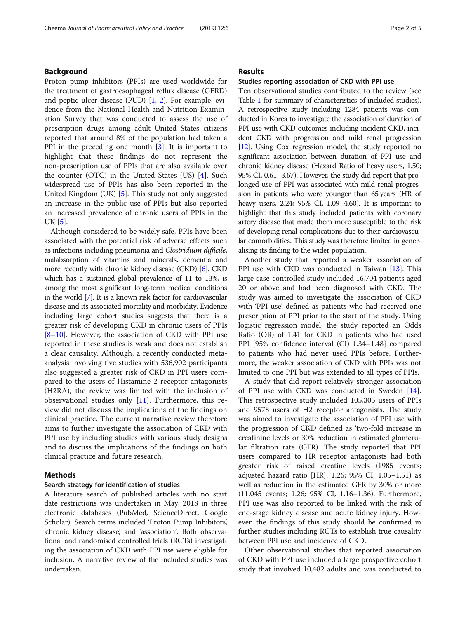## Background

Proton pump inhibitors (PPIs) are used worldwide for the treatment of gastroesophageal reflux disease (GERD) and peptic ulcer disease (PUD) [\[1](#page-4-0), [2](#page-4-0)]. For example, evidence from the National Health and Nutrition Examination Survey that was conducted to assess the use of prescription drugs among adult United States citizens reported that around 8% of the population had taken a PPI in the preceding one month [[3\]](#page-4-0). It is important to highlight that these findings do not represent the non-prescription use of PPIs that are also available over the counter (OTC) in the United States (US) [\[4](#page-4-0)]. Such widespread use of PPIs has also been reported in the United Kingdom (UK) [[5\]](#page-4-0). This study not only suggested an increase in the public use of PPIs but also reported an increased prevalence of chronic users of PPIs in the UK [\[5](#page-4-0)].

Although considered to be widely safe, PPIs have been associated with the potential risk of adverse effects such as infections including pneumonia and Clostridium difficile, malabsorption of vitamins and minerals, dementia and more recently with chronic kidney disease (CKD) [\[6\]](#page-4-0). CKD which has a sustained global prevalence of 11 to 13%, is among the most significant long-term medical conditions in the world [[7\]](#page-4-0). It is a known risk factor for cardiovascular disease and its associated mortality and morbidity. Evidence including large cohort studies suggests that there is a greater risk of developing CKD in chronic users of PPIs [[8](#page-4-0)–[10\]](#page-4-0). However, the association of CKD with PPI use reported in these studies is weak and does not establish a clear causality. Although, a recently conducted metaanalysis involving five studies with 536,902 participants also suggested a greater risk of CKD in PPI users compared to the users of Histamine 2 receptor antagonists (H2RA), the review was limited with the inclusion of observational studies only [[11\]](#page-4-0). Furthermore, this review did not discuss the implications of the findings on clinical practice. The current narrative review therefore aims to further investigate the association of CKD with PPI use by including studies with various study designs and to discuss the implications of the findings on both clinical practice and future research.

#### Methods

#### Search strategy for identification of studies

A literature search of published articles with no start date restrictions was undertaken in May, 2018 in three electronic databases (PubMed, ScienceDirect, Google Scholar). Search terms included 'Proton Pump Inhibitors', 'chronic kidney disease', and 'association'. Both observational and randomised controlled trials (RCTs) investigating the association of CKD with PPI use were eligible for inclusion. A narrative review of the included studies was undertaken.

### Results

#### Studies reporting association of CKD with PPI use

Ten observational studies contributed to the review (see Table [1](#page-2-0) for summary of characteristics of included studies). A retrospective study including 1284 patients was conducted in Korea to investigate the association of duration of PPI use with CKD outcomes including incident CKD, incident CKD with progression and mild renal progression [[12](#page-4-0)]. Using Cox regression model, the study reported no significant association between duration of PPI use and chronic kidney disease (Hazard Ratio of heavy users, 1.50; 95% CI, 0.61–3.67). However, the study did report that prolonged use of PPI was associated with mild renal progression in patients who were younger than 65 years (HR of heavy users, 2.24; 95% CI, 1.09–4.60). It is important to highlight that this study included patients with coronary artery disease that made them more susceptible to the risk of developing renal complications due to their cardiovascular comorbidities. This study was therefore limited in generalising its finding to the wider population.

Another study that reported a weaker association of PPI use with CKD was conducted in Taiwan [\[13](#page-4-0)]. This large case-controlled study included 16,704 patients aged 20 or above and had been diagnosed with CKD. The study was aimed to investigate the association of CKD with 'PPI use' defined as patients who had received one prescription of PPI prior to the start of the study. Using logistic regression model, the study reported an Odds Ratio (OR) of 1.41 for CKD in patients who had used PPI [95% confidence interval (CI) 1.34–1.48] compared to patients who had never used PPIs before. Furthermore, the weaker association of CKD with PPIs was not limited to one PPI but was extended to all types of PPIs.

A study that did report relatively stronger association of PPI use with CKD was conducted in Sweden [\[14](#page-4-0)]. This retrospective study included 105,305 users of PPIs and 9578 users of H2 receptor antagonists. The study was aimed to investigate the association of PPI use with the progression of CKD defined as 'two-fold increase in creatinine levels or 30% reduction in estimated glomerular filtration rate (GFR). The study reported that PPI users compared to HR receptor antagonists had both greater risk of raised creatine levels (1985 events; adjusted hazard ratio [HR], 1.26; 95% CI, 1.05–1.51) as well as reduction in the estimated GFR by 30% or more (11,045 events; 1.26; 95% CI, 1.16–1.36). Furthermore, PPI use was also reported to be linked with the risk of end-stage kidney disease and acute kidney injury. However, the findings of this study should be confirmed in further studies including RCTs to establish true causality between PPI use and incidence of CKD.

Other observational studies that reported association of CKD with PPI use included a large prospective cohort study that involved 10,482 adults and was conducted to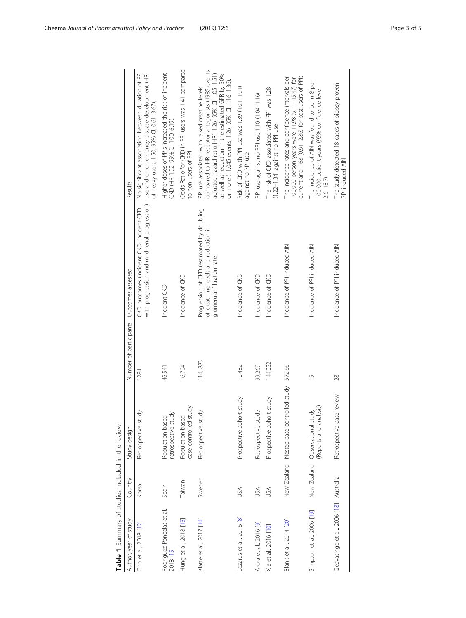<span id="page-2-0"></span>

| Table 1 Summary of studies included in the review |            |                                                           |                        |                                                                                                                  |                                                                                                                                                                                                                                                                      |
|---------------------------------------------------|------------|-----------------------------------------------------------|------------------------|------------------------------------------------------------------------------------------------------------------|----------------------------------------------------------------------------------------------------------------------------------------------------------------------------------------------------------------------------------------------------------------------|
| Author, year of study                             | Country    | Study design                                              | Number of participants | Outcomes assessed                                                                                                | Results                                                                                                                                                                                                                                                              |
| Cho et al., 2018 [12]                             | Korea      | Retrospective stud                                        | 1284                   | with progression and mild renal progression)<br>CKD outcomes (incident CKD, incident CKD                         | No significant association between duration of PPI<br>use and chronic kidney disease development (HR<br>of heavy users, 1.50; 95% CI, 0.61-3.67)                                                                                                                     |
| Rodriguez-Poncelas et al.,<br>2018 [15]           | Spain      | retrospective study<br>Population-based                   | 46,541                 | Incident CKD                                                                                                     | Higher doses of PPIs increased the risk of incident<br>CKD (HR 1.92; 95% CI 1.00-6.19).                                                                                                                                                                              |
| Hung et al., 2018 [13]                            | Taiwan     | case-controlled study<br>Population-based                 | 16,704                 | Incidence of CKD                                                                                                 | Odds Ratio for CKD in PPI users was 1.41 compared<br>to non-users of PPI                                                                                                                                                                                             |
| Klatte et al., 2017 [14]                          | Sweden     | Retrospective study                                       | 114,883                | Progression of CKD (estimated by doubling<br>of creatinine levels and reduction in<br>glomerular filtration rate | compared to HR receptor antagonists (1985 events;<br>adjusted hazard ratio [HR], 1.26; 95% Cl, 1.05-1.51)<br>as well as reduction in the estimated GFR by 30%<br>or more (11,045 events; 1.26; 95% CI, 1.16-1.36).<br>PPI use associated with raised creatine levels |
| Lazarus et al., 2016 [8]                          | USA        | Prospective cohort study                                  | 10,482                 | Incidence of CKD                                                                                                 | Risk of CKD with PPI use was 1.39 (1.01-1.91)<br>against no PPI use                                                                                                                                                                                                  |
| Arora et al., 2016 [9]                            | USA        | Retrospective study                                       | 99,269                 | Incidence of CKD                                                                                                 | PPI use against no PPI use 1.10 (1.04-1.16)                                                                                                                                                                                                                          |
| Xie et al., 2016 [10]                             | <b>NSU</b> | Prospective cohort study                                  | 144,032                | Incidence of CKD                                                                                                 | The risk of CKD associated with PPI was 1.28<br>(1.22-1.34) against no PPI use                                                                                                                                                                                       |
| Blank et al., 2014 [20]                           |            | New Zealand Nested case-controlled study 572,661          |                        | Incidence of PPI-induced AIN                                                                                     | current and 1.68 (0.91-2.86) for past users of PPIs<br>The incidence rates and confidence intervals per<br>100,000 person-years were 11.98 (9.11-15.47) for                                                                                                          |
| Simpson et al., 2006 [19]                         |            | (Reports and analysis)<br>New Zealand Observational study | $\frac{5}{1}$          | Incidence of PPI-induced AIN                                                                                     | The incidence of AIN was found to be in 8 per<br>100 000 patient years (95% confidence level<br>$2.6 - 18.7$                                                                                                                                                         |
| Geevasinga et al., 2006 [18] Australia            |            | Retrospective case review                                 | 28                     | Incidence of PPI-induced AIN                                                                                     | The study detected 18 cases of biopsy-proven<br>PPI-induced AIN                                                                                                                                                                                                      |
|                                                   |            |                                                           |                        |                                                                                                                  |                                                                                                                                                                                                                                                                      |

 $\frac{1}{2}$  $\frac{1}{2}$ ्त्  $\frac{5}{10}$  $\frac{a}{c}$  $\frac{1}{2}$  $\bar{\sigma}$ Ė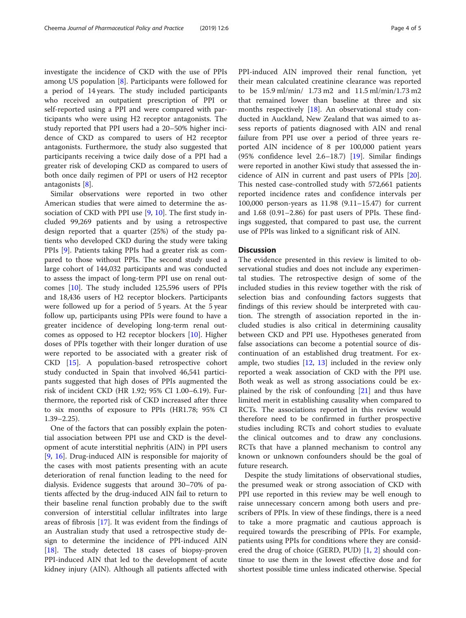investigate the incidence of CKD with the use of PPIs among US population [[8](#page-4-0)]. Participants were followed for a period of 14 years. The study included participants who received an outpatient prescription of PPI or self-reported using a PPI and were compared with participants who were using H2 receptor antagonists. The study reported that PPI users had a 20–50% higher incidence of CKD as compared to users of H2 receptor antagonists. Furthermore, the study also suggested that participants receiving a twice daily dose of a PPI had a greater risk of developing CKD as compared to users of both once daily regimen of PPI or users of H2 receptor antagonists [[8\]](#page-4-0).

Similar observations were reported in two other American studies that were aimed to determine the association of CKD with PPI use [[9,](#page-4-0) [10\]](#page-4-0). The first study included 99,269 patients and by using a retrospective design reported that a quarter (25%) of the study patients who developed CKD during the study were taking PPIs [\[9](#page-4-0)]. Patients taking PPIs had a greater risk as compared to those without PPIs. The second study used a large cohort of 144,032 participants and was conducted to assess the impact of long-term PPI use on renal outcomes [\[10](#page-4-0)]. The study included 125,596 users of PPIs and 18,436 users of H2 receptor blockers. Participants were followed up for a period of 5 years. At the 5 year follow up, participants using PPIs were found to have a greater incidence of developing long-term renal outcomes as opposed to H2 receptor blockers [\[10](#page-4-0)]. Higher doses of PPIs together with their longer duration of use were reported to be associated with a greater risk of CKD [[15\]](#page-4-0). A population-based retrospective cohort study conducted in Spain that involved 46,541 participants suggested that high doses of PPIs augmented the risk of incident CKD (HR 1.92; 95% CI 1.00–6.19). Furthermore, the reported risk of CKD increased after three to six months of exposure to PPIs (HR1.78; 95% CI 1.39–2.25).

One of the factors that can possibly explain the potential association between PPI use and CKD is the development of acute interstitial nephritis (AIN) in PPI users [[9,](#page-4-0) [16](#page-4-0)]. Drug-induced AIN is responsible for majority of the cases with most patients presenting with an acute deterioration of renal function leading to the need for dialysis. Evidence suggests that around 30–70% of patients affected by the drug-induced AIN fail to return to their baseline renal function probably due to the swift conversion of interstitial cellular infiltrates into large areas of fibrosis [[17\]](#page-4-0). It was evident from the findings of an Australian study that used a retrospective study design to determine the incidence of PPI-induced AIN [[18\]](#page-4-0). The study detected 18 cases of biopsy-proven PPI-induced AIN that led to the development of acute kidney injury (AIN). Although all patients affected with PPI-induced AIN improved their renal function, yet their mean calculated creatinine clearance was reported to be 15.9 ml/min/ 1.73 m2 and 11.5 ml/min/1.73 m2 that remained lower than baseline at three and six months respectively [\[18](#page-4-0)]. An observational study conducted in Auckland, New Zealand that was aimed to assess reports of patients diagnosed with AIN and renal failure from PPI use over a period of three years reported AIN incidence of 8 per 100,000 patient years (95% confidence level 2.6–18.7) [[19\]](#page-4-0). Similar findings were reported in another Kiwi study that assessed the incidence of AIN in current and past users of PPIs [\[20](#page-4-0)]. This nested case-controlled study with 572,661 patients reported incidence rates and confidence intervals per 100,000 person-years as 11.98 (9.11–15.47) for current and 1.68 (0.91–2.86) for past users of PPIs. These findings suggested, that compared to past use, the current use of PPIs was linked to a significant risk of AIN.

#### **Discussion**

The evidence presented in this review is limited to observational studies and does not include any experimental studies. The retrospective design of some of the included studies in this review together with the risk of selection bias and confounding factors suggests that findings of this review should be interpreted with caution. The strength of association reported in the included studies is also critical in determining causality between CKD and PPI use. Hypotheses generated from false associations can become a potential source of discontinuation of an established drug treatment. For example, two studies  $[12, 13]$  $[12, 13]$  $[12, 13]$  $[12, 13]$  included in the review only reported a weak association of CKD with the PPI use. Both weak as well as strong associations could be explained by the risk of confounding [\[21\]](#page-4-0) and thus have limited merit in establishing causality when compared to RCTs. The associations reported in this review would therefore need to be confirmed in further prospective studies including RCTs and cohort studies to evaluate the clinical outcomes and to draw any conclusions. RCTs that have a planned mechanism to control any known or unknown confounders should be the goal of future research.

Despite the study limitations of observational studies, the presumed weak or strong association of CKD with PPI use reported in this review may be well enough to raise unnecessary concern among both users and prescribers of PPIs. In view of these findings, there is a need to take a more pragmatic and cautious approach is required towards the prescribing of PPIs. For example, patients using PPIs for conditions where they are considered the drug of choice (GERD, PUD) [\[1,](#page-4-0) [2](#page-4-0)] should continue to use them in the lowest effective dose and for shortest possible time unless indicated otherwise. Special